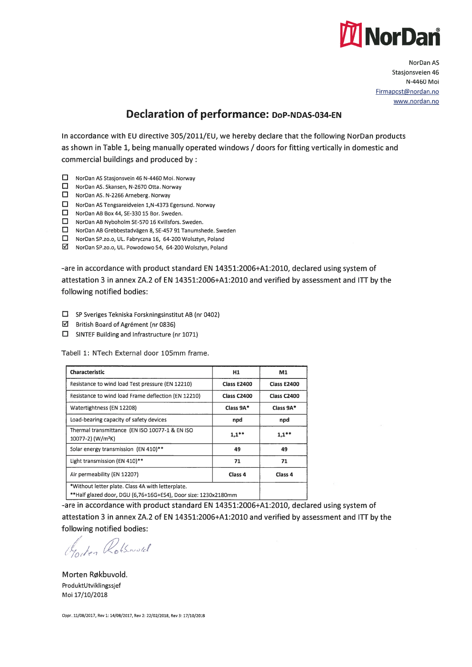

NorDan AS Stasjonsveien 46 N-4460 Mai Firmapost@nordan.no www.nordan.no

## Declaration of performance: DoP-NDAS-034-EN

In accordance with EU directive 305/2011/EU, we hereby declare that the following NorDan products as shown in Table 1, being manually operated windows / doors for fitting vertically in domestic and commercial buildings and produced by:

- □ NorDan AS Stasjonsvein 46 N-4460 Moi. Norway
- NorDan AS. Skansen, N-2670 Otta. Norway
- D NorDan AS. N-2266 Arneberg. Norway
- NorDan AS Tengsareidveien 1,N-4373 Egersund. Norway
- NorDan AB Box 44, SE-330 15 Bor. Sweden.
- D NorDan AB Nyboholm SE-570 <sup>16</sup> Kvillsfors. Sweden.
- D NorDan AB Grebbestadvägen 8, SE-457 <sup>91</sup> Tanumshede. Sweden
- D NorDan SP.zo.o, UL. Fabryczna 16, 64-200 Wolsztyn, Poland
- II NorDan SP.zo.o, UL. Powodowo 54, 64-200 Wolsztyn, Poland

-are in accordance with product standard EN 14351:2006+A1:2010, deciared using system of attestation 3 in annex ZA.2 of EN 14351:2006+A1:2010 and verified by assessment and liT by the following notified bodies:

- D SP Sveriges Tekniska Forskningsinstitut AB (nr 0402)
- British Board of Agrément (nr 0836)
- D SINTEF Building and lnfrastructure (nr 1071)

Tabell 1: NTech External door 105mm frame.

| <b>Characteristic</b>                                                                                               | H <sub>1</sub>     | M1                 |
|---------------------------------------------------------------------------------------------------------------------|--------------------|--------------------|
| Resistance to wind load Test pressure (EN 12210)                                                                    | <b>Class E2400</b> | <b>Class E2400</b> |
| Resistance to wind load Frame deflection (EN 12210)                                                                 | <b>Class C2400</b> | <b>Class C2400</b> |
| Watertightness (EN 12208)                                                                                           | Class 9A*          | Class 9A*          |
| Load-bearing capacity of safety devices                                                                             | npd                | npd                |
| Thermal transmittance (EN ISO 10077-1 & EN ISO<br>10077-2) (W/m <sup>2</sup> K)                                     | $1,1$ **           | $1,1**$            |
| Solar energy transmission (EN 410)**                                                                                | 49                 | 49                 |
| Light transmission (EN 410)**                                                                                       | 71                 | 71                 |
| Air permeability (EN 12207)                                                                                         | Class <sub>4</sub> | Class <sub>4</sub> |
| *Without letter plate. Class 4A with letterplate.<br>**Half glazed door, DGU (6,76+16G+ES4), Door size: 1230x2180mm |                    |                    |

-are in accordance with product standard EN 14351:2006+A1:2010, deciared using system of attestation 3 in annex ZA.2 of EN 14351:2006+A1:2010 and verified by assessment and liT by the following notified bodies:

Gordon Rotsword

Morten Røkbuvold. ProduktUtviklingssjef Mai 17/10/2018

Oppr. 11/08/2017, Rev 1: 14/08/2017, Rev 2: 22/02/2018, Rev 3: 17/10/2018